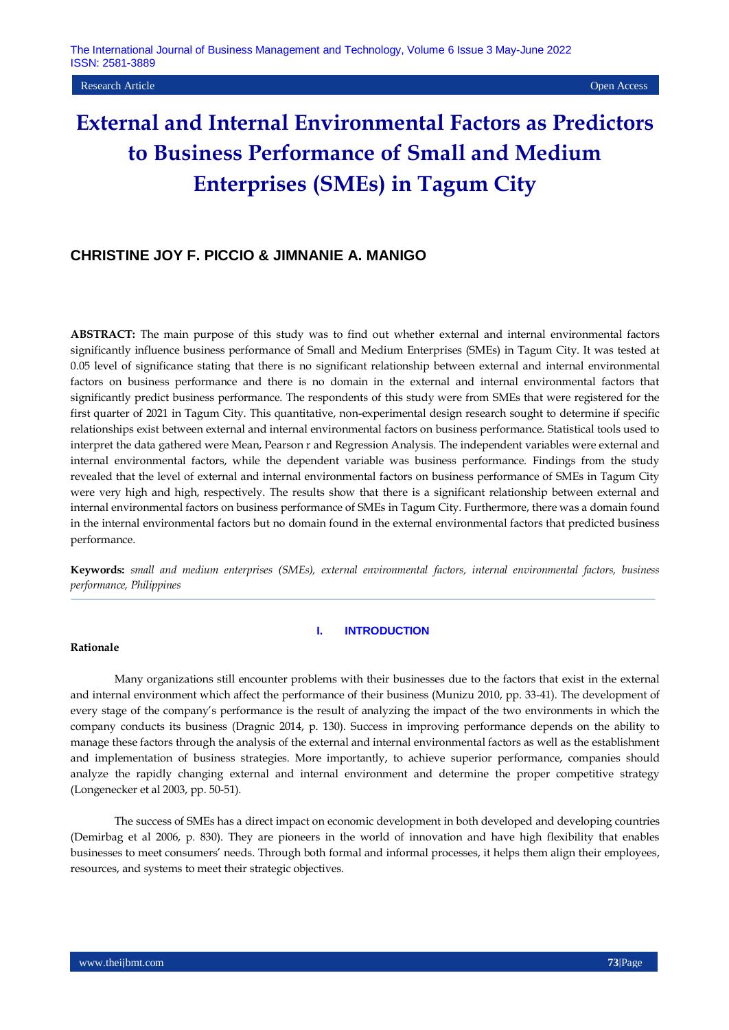Research Article Open Access

# **External and Internal Environmental Factors as Predictors to Business Performance of Small and Medium Enterprises (SMEs) in Tagum City**

# **CHRISTINE JOY F. PICCIO & JIMNANIE A. MANIGO**

**ABSTRACT:** The main purpose of this study was to find out whether external and internal environmental factors significantly influence business performance of Small and Medium Enterprises (SMEs) in Tagum City. It was tested at 0.05 level of significance stating that there is no significant relationship between external and internal environmental factors on business performance and there is no domain in the external and internal environmental factors that significantly predict business performance. The respondents of this study were from SMEs that were registered for the first quarter of 2021 in Tagum City. This quantitative, non-experimental design research sought to determine if specific relationships exist between external and internal environmental factors on business performance. Statistical tools used to interpret the data gathered were Mean, Pearson r and Regression Analysis. The independent variables were external and internal environmental factors, while the dependent variable was business performance. Findings from the study revealed that the level of external and internal environmental factors on business performance of SMEs in Tagum City were very high and high, respectively. The results show that there is a significant relationship between external and internal environmental factors on business performance of SMEs in Tagum City. Furthermore, there was a domain found in the internal environmental factors but no domain found in the external environmental factors that predicted business performance.

**Keywords:** *small and medium enterprises (SMEs), external environmental factors, internal environmental factors, business performance, Philippines*

#### **I. INTRODUCTION**

## **Rationale**

Many organizations still encounter problems with their businesses due to the factors that exist in the external and internal environment which affect the performance of their business (Munizu 2010, pp. 33-41). The development of every stage of the company's performance is the result of analyzing the impact of the two environments in which the company conducts its business (Dragnic 2014, p. 130). Success in improving performance depends on the ability to manage these factors through the analysis of the external and internal environmental factors as well as the establishment and implementation of business strategies. More importantly, to achieve superior performance, companies should analyze the rapidly changing external and internal environment and determine the proper competitive strategy (Longenecker et al 2003, pp. 50-51).

The success of SMEs has a direct impact on economic development in both developed and developing countries (Demirbag et al 2006, p. 830). They are pioneers in the world of innovation and have high flexibility that enables businesses to meet consumers' needs. Through both formal and informal processes, it helps them align their employees, resources, and systems to meet their strategic objectives.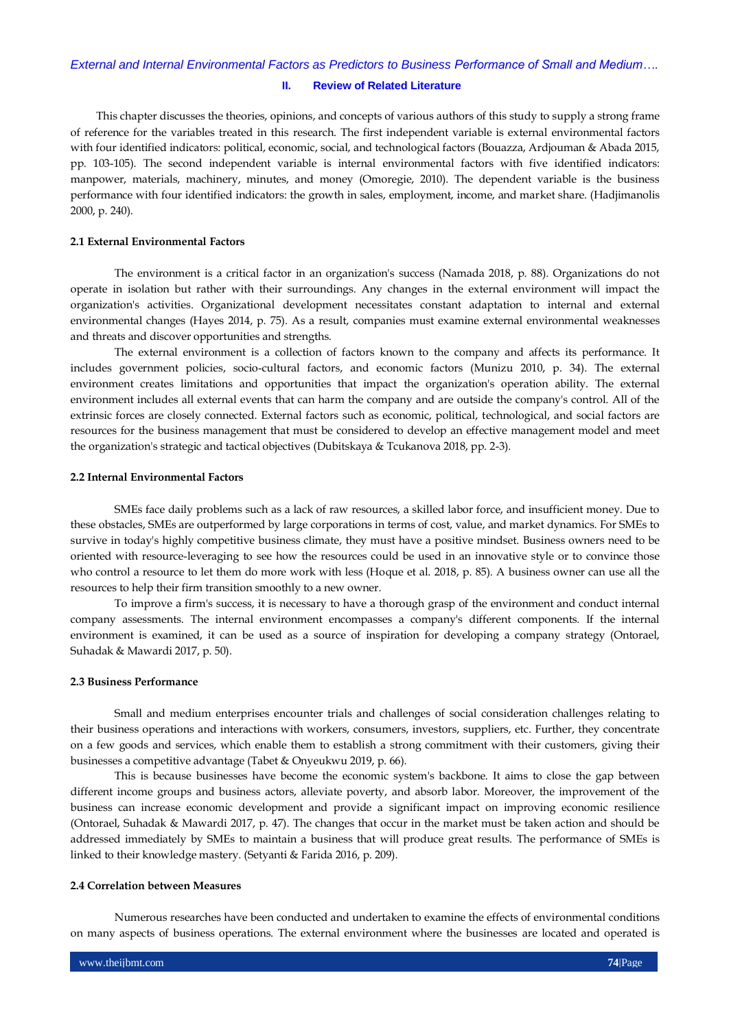#### **II. Review of Related Literature**

This chapter discusses the theories, opinions, and concepts of various authors of this study to supply a strong frame of reference for the variables treated in this research. The first independent variable is external environmental factors with four identified indicators: political, economic, social, and technological factors (Bouazza, Ardjouman & Abada 2015, pp. 103-105). The second independent variable is internal environmental factors with five identified indicators: manpower, materials, machinery, minutes, and money (Omoregie, 2010). The dependent variable is the business performance with four identified indicators: the growth in sales, employment, income, and market share. (Hadjimanolis 2000, p. 240).

#### **2.1 External Environmental Factors**

The environment is a critical factor in an organization's success (Namada 2018, p. 88). Organizations do not operate in isolation but rather with their surroundings. Any changes in the external environment will impact the organization's activities. Organizational development necessitates constant adaptation to internal and external environmental changes (Hayes 2014, p. 75). As a result, companies must examine external environmental weaknesses and threats and discover opportunities and strengths.

The external environment is a collection of factors known to the company and affects its performance. It includes government policies, socio-cultural factors, and economic factors (Munizu 2010, p. 34). The external environment creates limitations and opportunities that impact the organization's operation ability. The external environment includes all external events that can harm the company and are outside the company's control. All of the extrinsic forces are closely connected. External factors such as economic, political, technological, and social factors are resources for the business management that must be considered to develop an effective management model and meet the organization's strategic and tactical objectives (Dubitskaya & Tcukanova 2018, pp. 2-3).

## **2.2 Internal Environmental Factors**

SMEs face daily problems such as a lack of raw resources, a skilled labor force, and insufficient money. Due to these obstacles, SMEs are outperformed by large corporations in terms of cost, value, and market dynamics. For SMEs to survive in today's highly competitive business climate, they must have a positive mindset. Business owners need to be oriented with resource-leveraging to see how the resources could be used in an innovative style or to convince those who control a resource to let them do more work with less (Hoque et al. 2018, p. 85). A business owner can use all the resources to help their firm transition smoothly to a new owner.

To improve a firm's success, it is necessary to have a thorough grasp of the environment and conduct internal company assessments. The internal environment encompasses a company's different components. If the internal environment is examined, it can be used as a source of inspiration for developing a company strategy (Ontorael, Suhadak & Mawardi 2017, p. 50).

## **2.3 Business Performance**

Small and medium enterprises encounter trials and challenges of social consideration challenges relating to their business operations and interactions with workers, consumers, investors, suppliers, etc. Further, they concentrate on a few goods and services, which enable them to establish a strong commitment with their customers, giving their businesses a competitive advantage (Tabet & Onyeukwu 2019, p. 66).

This is because businesses have become the economic system's backbone. It aims to close the gap between different income groups and business actors, alleviate poverty, and absorb labor. Moreover, the improvement of the business can increase economic development and provide a significant impact on improving economic resilience (Ontorael, Suhadak & Mawardi 2017, p. 47). The changes that occur in the market must be taken action and should be addressed immediately by SMEs to maintain a business that will produce great results. The performance of SMEs is linked to their knowledge mastery. (Setyanti & Farida 2016, p. 209).

#### **2.4 Correlation between Measures**

Numerous researches have been conducted and undertaken to examine the effects of environmental conditions on many aspects of business operations. The external environment where the businesses are located and operated is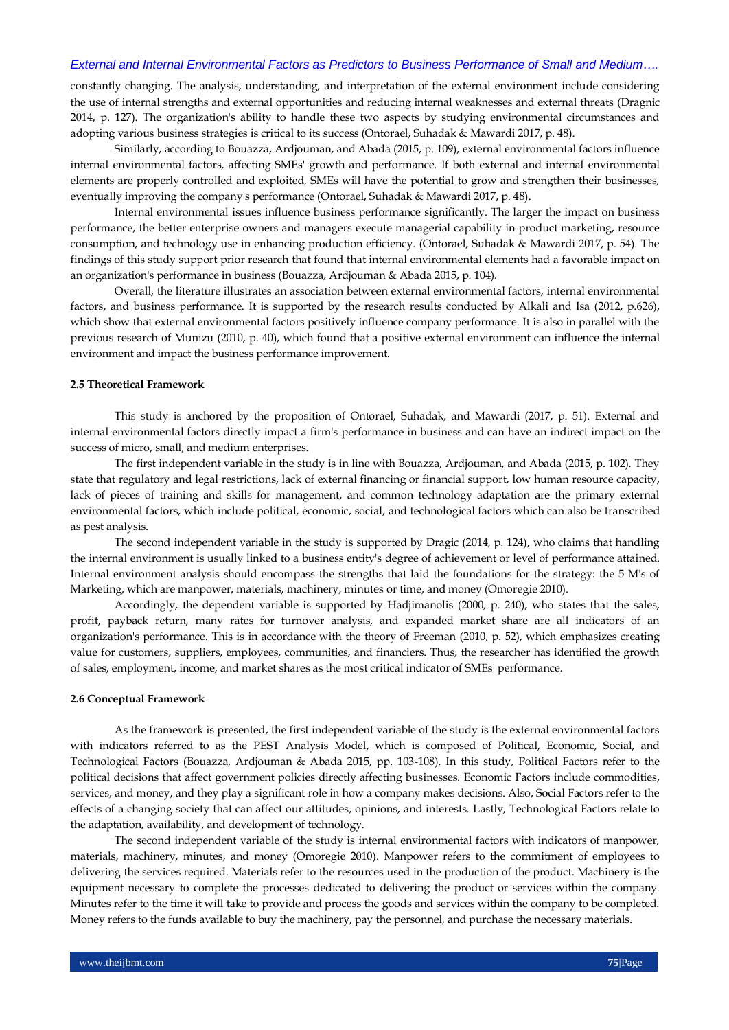constantly changing. The analysis, understanding, and interpretation of the external environment include considering the use of internal strengths and external opportunities and reducing internal weaknesses and external threats (Dragnic 2014, p. 127). The organization's ability to handle these two aspects by studying environmental circumstances and adopting various business strategies is critical to its success (Ontorael, Suhadak & Mawardi 2017, p. 48).

Similarly, according to Bouazza, Ardjouman, and Abada (2015, p. 109), external environmental factors influence internal environmental factors, affecting SMEs' growth and performance. If both external and internal environmental elements are properly controlled and exploited, SMEs will have the potential to grow and strengthen their businesses, eventually improving the company's performance (Ontorael, Suhadak & Mawardi 2017, p. 48).

Internal environmental issues influence business performance significantly. The larger the impact on business performance, the better enterprise owners and managers execute managerial capability in product marketing, resource consumption, and technology use in enhancing production efficiency. (Ontorael, Suhadak & Mawardi 2017, p. 54). The findings of this study support prior research that found that internal environmental elements had a favorable impact on an organization's performance in business (Bouazza, Ardjouman & Abada 2015, p. 104).

Overall, the literature illustrates an association between external environmental factors, internal environmental factors, and business performance. It is supported by the research results conducted by Alkali and Isa (2012, p.626), which show that external environmental factors positively influence company performance. It is also in parallel with the previous research of Munizu (2010, p. 40), which found that a positive external environment can influence the internal environment and impact the business performance improvement.

#### **2.5 Theoretical Framework**

This study is anchored by the proposition of Ontorael, Suhadak, and Mawardi (2017, p. 51). External and internal environmental factors directly impact a firm's performance in business and can have an indirect impact on the success of micro, small, and medium enterprises.

The first independent variable in the study is in line with Bouazza, Ardjouman, and Abada (2015, p. 102). They state that regulatory and legal restrictions, lack of external financing or financial support, low human resource capacity, lack of pieces of training and skills for management, and common technology adaptation are the primary external environmental factors, which include political, economic, social, and technological factors which can also be transcribed as pest analysis.

The second independent variable in the study is supported by Dragic (2014, p. 124), who claims that handling the internal environment is usually linked to a business entity's degree of achievement or level of performance attained. Internal environment analysis should encompass the strengths that laid the foundations for the strategy: the 5 M's of Marketing, which are manpower, materials, machinery, minutes or time, and money (Omoregie 2010).

Accordingly, the dependent variable is supported by Hadjimanolis (2000, p. 240), who states that the sales, profit, payback return, many rates for turnover analysis, and expanded market share are all indicators of an organization's performance. This is in accordance with the theory of Freeman (2010, p. 52), which emphasizes creating value for customers, suppliers, employees, communities, and financiers. Thus, the researcher has identified the growth of sales, employment, income, and market shares as the most critical indicator of SMEs' performance.

#### **2.6 Conceptual Framework**

As the framework is presented, the first independent variable of the study is the external environmental factors with indicators referred to as the PEST Analysis Model, which is composed of Political, Economic, Social, and Technological Factors (Bouazza, Ardjouman & Abada 2015, pp. 103-108). In this study, Political Factors refer to the political decisions that affect government policies directly affecting businesses. Economic Factors include commodities, services, and money, and they play a significant role in how a company makes decisions. Also, Social Factors refer to the effects of a changing society that can affect our attitudes, opinions, and interests. Lastly, Technological Factors relate to the adaptation, availability, and development of technology.

The second independent variable of the study is internal environmental factors with indicators of manpower, materials, machinery, minutes, and money (Omoregie 2010). Manpower refers to the commitment of employees to delivering the services required. Materials refer to the resources used in the production of the product. Machinery is the equipment necessary to complete the processes dedicated to delivering the product or services within the company. Minutes refer to the time it will take to provide and process the goods and services within the company to be completed. Money refers to the funds available to buy the machinery, pay the personnel, and purchase the necessary materials.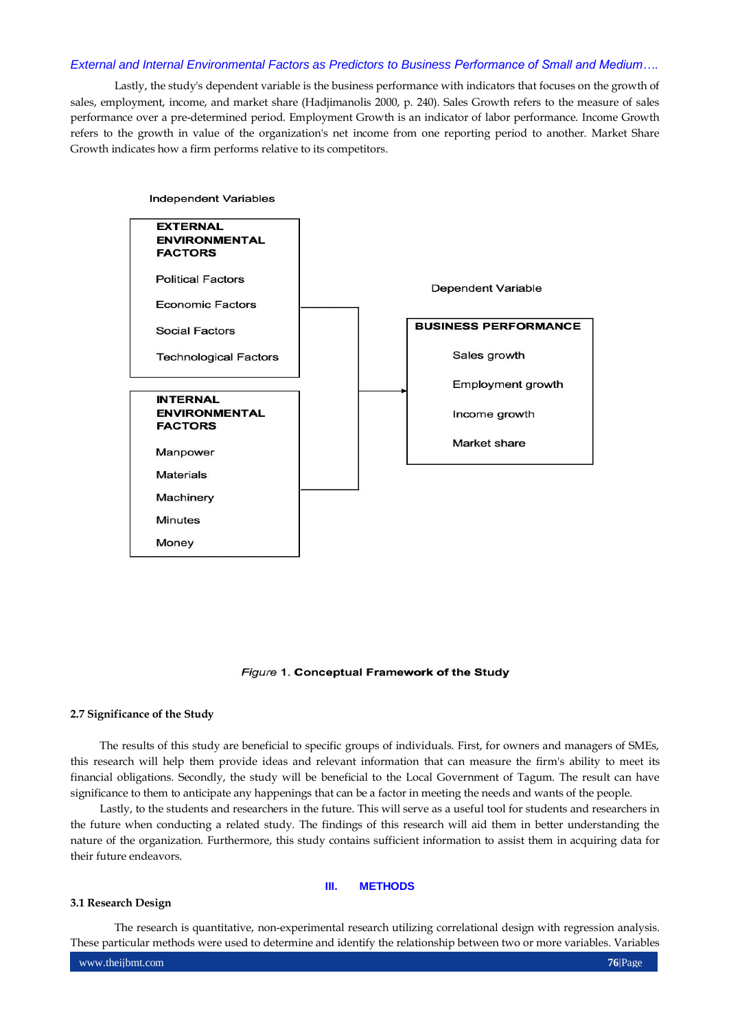Lastly, the study's dependent variable is the business performance with indicators that focuses on the growth of sales, employment, income, and market share (Hadjimanolis 2000, p. 240). Sales Growth refers to the measure of sales performance over a pre-determined period. Employment Growth is an indicator of labor performance. Income Growth refers to the growth in value of the organization's net income from one reporting period to another. Market Share Growth indicates how a firm performs relative to its competitors.



#### Figure 1. Conceptual Framework of the Study

## **2.7 Significance of the Study**

The results of this study are beneficial to specific groups of individuals. First, for owners and managers of SMEs, this research will help them provide ideas and relevant information that can measure the firm's ability to meet its financial obligations. Secondly, the study will be beneficial to the Local Government of Tagum. The result can have significance to them to anticipate any happenings that can be a factor in meeting the needs and wants of the people.

Lastly, to the students and researchers in the future. This will serve as a useful tool for students and researchers in the future when conducting a related study. The findings of this research will aid them in better understanding the nature of the organization. Furthermore, this study contains sufficient information to assist them in acquiring data for their future endeavors.

#### **III. METHODS**

#### **3.1 Research Design**

The research is quantitative, non-experimental research utilizing correlational design with regression analysis. These particular methods were used to determine and identify the relationship between two or more variables. Variables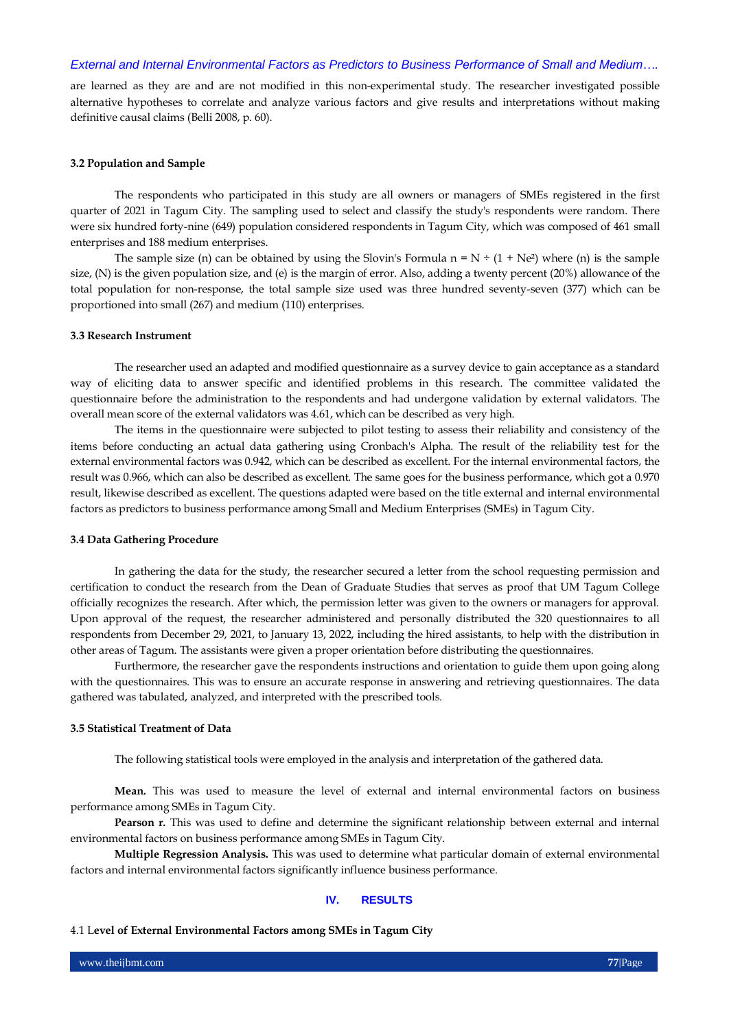are learned as they are and are not modified in this non-experimental study. The researcher investigated possible alternative hypotheses to correlate and analyze various factors and give results and interpretations without making definitive causal claims (Belli 2008, p. 60).

#### **3.2 Population and Sample**

The respondents who participated in this study are all owners or managers of SMEs registered in the first quarter of 2021 in Tagum City. The sampling used to select and classify the study's respondents were random. There were six hundred forty-nine (649) population considered respondents in Tagum City, which was composed of 461 small enterprises and 188 medium enterprises.

The sample size (n) can be obtained by using the Slovin's Formula  $n = N + (1 + Ne^2)$  where (n) is the sample size, (N) is the given population size, and (e) is the margin of error. Also, adding a twenty percent (20%) allowance of the total population for non-response, the total sample size used was three hundred seventy-seven (377) which can be proportioned into small (267) and medium (110) enterprises.

#### **3.3 Research Instrument**

The researcher used an adapted and modified questionnaire as a survey device to gain acceptance as a standard way of eliciting data to answer specific and identified problems in this research. The committee validated the questionnaire before the administration to the respondents and had undergone validation by external validators. The overall mean score of the external validators was 4.61, which can be described as very high.

The items in the questionnaire were subjected to pilot testing to assess their reliability and consistency of the items before conducting an actual data gathering using Cronbach's Alpha. The result of the reliability test for the external environmental factors was 0.942, which can be described as excellent. For the internal environmental factors, the result was 0.966, which can also be described as excellent. The same goes for the business performance, which got a 0.970 result, likewise described as excellent. The questions adapted were based on the title external and internal environmental factors as predictors to business performance among Small and Medium Enterprises (SMEs) in Tagum City.

#### **3.4 Data Gathering Procedure**

In gathering the data for the study, the researcher secured a letter from the school requesting permission and certification to conduct the research from the Dean of Graduate Studies that serves as proof that UM Tagum College officially recognizes the research. After which, the permission letter was given to the owners or managers for approval. Upon approval of the request, the researcher administered and personally distributed the 320 questionnaires to all respondents from December 29, 2021, to January 13, 2022, including the hired assistants, to help with the distribution in other areas of Tagum. The assistants were given a proper orientation before distributing the questionnaires.

Furthermore, the researcher gave the respondents instructions and orientation to guide them upon going along with the questionnaires. This was to ensure an accurate response in answering and retrieving questionnaires. The data gathered was tabulated, analyzed, and interpreted with the prescribed tools.

## **3.5 Statistical Treatment of Data**

The following statistical tools were employed in the analysis and interpretation of the gathered data.

**Mean.** This was used to measure the level of external and internal environmental factors on business performance among SMEs in Tagum City.

**Pearson r.** This was used to define and determine the significant relationship between external and internal environmental factors on business performance among SMEs in Tagum City.

**Multiple Regression Analysis.** This was used to determine what particular domain of external environmental factors and internal environmental factors significantly influence business performance.

#### **IV. RESULTS**

## 4.1 L**evel of External Environmental Factors among SMEs in Tagum City**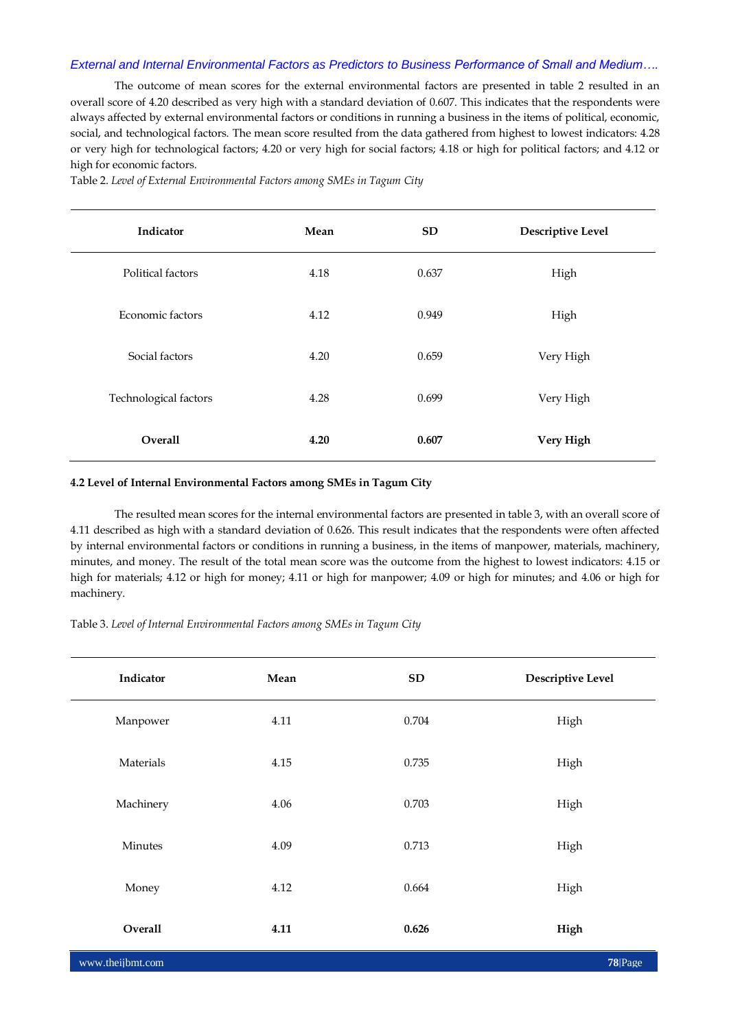The outcome of mean scores for the external environmental factors are presented in table 2 resulted in an overall score of 4.20 described as very high with a standard deviation of 0.607. This indicates that the respondents were always affected by external environmental factors or conditions in running a business in the items of political, economic, social, and technological factors. The mean score resulted from the data gathered from highest to lowest indicators: 4.28 or very high for technological factors; 4.20 or very high for social factors; 4.18 or high for political factors; and 4.12 or high for economic factors.

Table 2. *Level of External Environmental Factors among SMEs in Tagum City*

| Indicator             | Mean | <b>SD</b> | <b>Descriptive Level</b> |
|-----------------------|------|-----------|--------------------------|
| Political factors     | 4.18 | 0.637     | High                     |
| Economic factors      | 4.12 | 0.949     | High                     |
| Social factors        | 4.20 | 0.659     | Very High                |
| Technological factors | 4.28 | 0.699     | Very High                |
| <b>Overall</b>        | 4.20 | 0.607     | Very High                |

## **4.2 Level of Internal Environmental Factors among SMEs in Tagum City**

The resulted mean scores for the internal environmental factors are presented in table 3, with an overall score of 4.11 described as high with a standard deviation of 0.626. This result indicates that the respondents were often affected by internal environmental factors or conditions in running a business, in the items of manpower, materials, machinery, minutes, and money. The result of the total mean score was the outcome from the highest to lowest indicators: 4.15 or high for materials; 4.12 or high for money; 4.11 or high for manpower; 4.09 or high for minutes; and 4.06 or high for machinery.

Table 3. *Level of Internal Environmental Factors among SMEs in Tagum City*

| Indicator        | Mean | SD    | <b>Descriptive Level</b> |
|------------------|------|-------|--------------------------|
| Manpower         | 4.11 | 0.704 | High                     |
| Materials        | 4.15 | 0.735 | High                     |
| Machinery        | 4.06 | 0.703 | High                     |
| Minutes          | 4.09 | 0.713 | High                     |
| Money            | 4.12 | 0.664 | High                     |
| Overall          | 4.11 | 0.626 | High                     |
| www.theijbmt.com |      |       | 78 Page                  |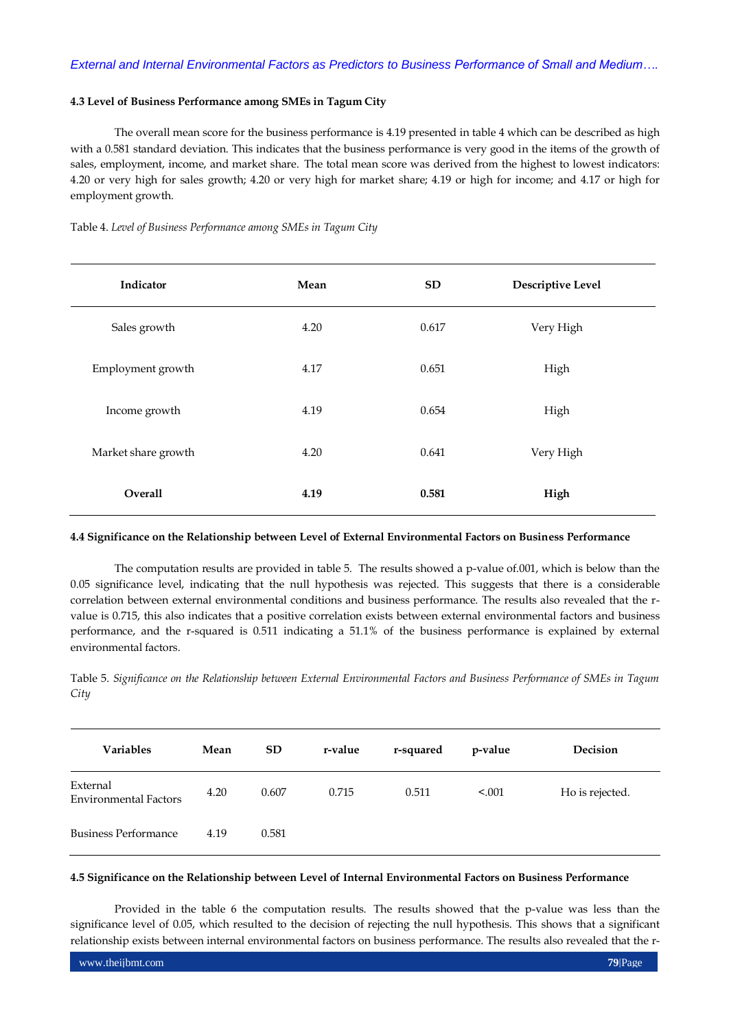## **4.3 Level of Business Performance among SMEs in Tagum City**

The overall mean score for the business performance is 4.19 presented in table 4 which can be described as high with a 0.581 standard deviation. This indicates that the business performance is very good in the items of the growth of sales, employment, income, and market share. The total mean score was derived from the highest to lowest indicators: 4.20 or very high for sales growth; 4.20 or very high for market share; 4.19 or high for income; and 4.17 or high for employment growth.

Table 4. *Level of Business Performance among SMEs in Tagum City*

| Indicator           | Mean | <b>SD</b> | <b>Descriptive Level</b> |
|---------------------|------|-----------|--------------------------|
| Sales growth        | 4.20 | 0.617     | Very High                |
| Employment growth   | 4.17 | 0.651     | High                     |
| Income growth       | 4.19 | 0.654     | High                     |
| Market share growth | 4.20 | 0.641     | Very High                |
| Overall             | 4.19 | 0.581     | High                     |

## **4.4 Significance on the Relationship between Level of External Environmental Factors on Business Performance**

The computation results are provided in table 5. The results showed a p-value of.001, which is below than the 0.05 significance level, indicating that the null hypothesis was rejected. This suggests that there is a considerable correlation between external environmental conditions and business performance. The results also revealed that the rvalue is 0.715, this also indicates that a positive correlation exists between external environmental factors and business performance, and the r-squared is 0.511 indicating a 51.1% of the business performance is explained by external environmental factors.

Table 5. *Significance on the Relationship between External Environmental Factors and Business Performance of SMEs in Tagum City*

| <b>Variables</b>                         | Mean | <b>SD</b> | r-value | r-squared | p-value | Decision        |
|------------------------------------------|------|-----------|---------|-----------|---------|-----------------|
| External<br><b>Environmental Factors</b> | 4.20 | 0.607     | 0.715   | 0.511     | < 0.001 | Ho is rejected. |
| <b>Business Performance</b>              | 4.19 | 0.581     |         |           |         |                 |

#### **4.5 Significance on the Relationship between Level of Internal Environmental Factors on Business Performance**

Provided in the table 6 the computation results. The results showed that the p-value was less than the significance level of 0.05, which resulted to the decision of rejecting the null hypothesis. This shows that a significant relationship exists between internal environmental factors on business performance. The results also revealed that the r-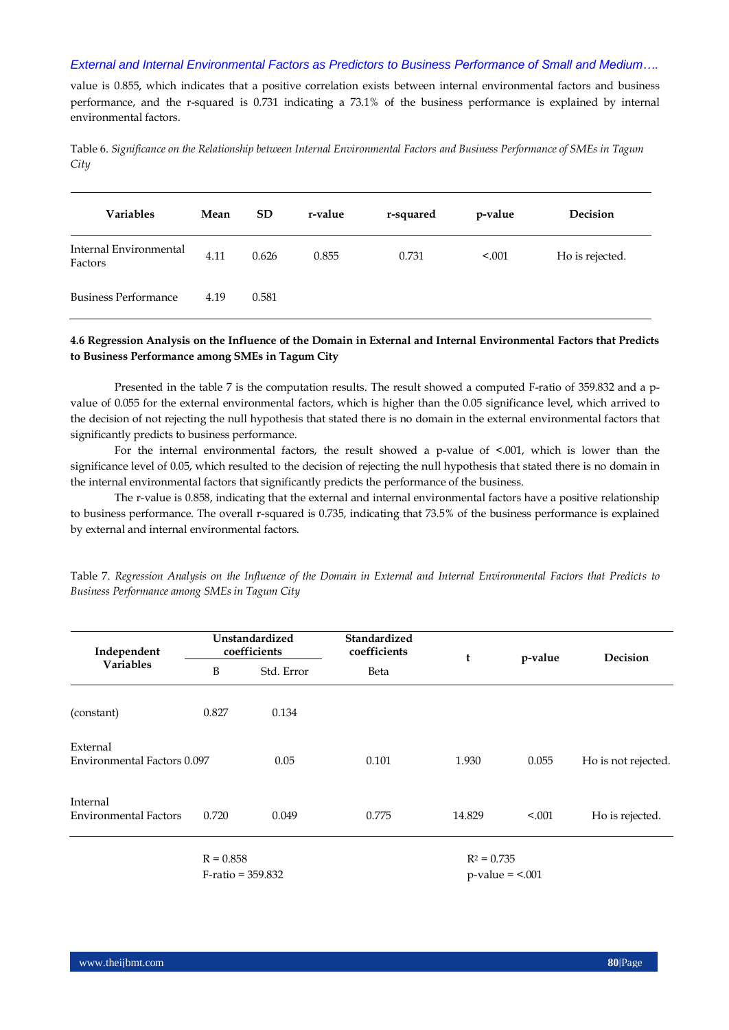value is 0.855, which indicates that a positive correlation exists between internal environmental factors and business performance, and the r-squared is 0.731 indicating a 73.1% of the business performance is explained by internal environmental factors.

Table 6. *Significance on the Relationship between Internal Environmental Factors and Business Performance of SMEs in Tagum City*

| <b>Variables</b>                  | Mean | <b>SD</b> | r-value | r-squared | p-value | Decision        |
|-----------------------------------|------|-----------|---------|-----------|---------|-----------------|
| Internal Environmental<br>Factors | 4.11 | 0.626     | 0.855   | 0.731     | < 0.001 | Ho is rejected. |
| <b>Business Performance</b>       | 4.19 | 0.581     |         |           |         |                 |

## **4.6 Regression Analysis on the Influence of the Domain in External and Internal Environmental Factors that Predicts to Business Performance among SMEs in Tagum City**

Presented in the table 7 is the computation results. The result showed a computed F-ratio of 359.832 and a pvalue of 0.055 for the external environmental factors, which is higher than the 0.05 significance level, which arrived to the decision of not rejecting the null hypothesis that stated there is no domain in the external environmental factors that significantly predicts to business performance.

For the internal environmental factors, the result showed a p-value of <.001, which is lower than the significance level of 0.05, which resulted to the decision of rejecting the null hypothesis that stated there is no domain in the internal environmental factors that significantly predicts the performance of the business.

The r-value is 0.858, indicating that the external and internal environmental factors have a positive relationship to business performance. The overall r-squared is 0.735, indicating that 73.5% of the business performance is explained by external and internal environmental factors.

| Independent<br><b>Variables</b>          | Unstandardized<br>coefficients |                      | Standardized<br>coefficients | t             | p-value                  | Decision            |
|------------------------------------------|--------------------------------|----------------------|------------------------------|---------------|--------------------------|---------------------|
|                                          | B<br>Std. Error                |                      | Beta                         |               |                          |                     |
| (constant)                               | 0.827                          | 0.134                |                              |               |                          |                     |
| External<br>Environmental Factors 0.097  |                                | 0.05                 | 0.101                        | 1.930         | 0.055                    | Ho is not rejected. |
| Internal<br><b>Environmental Factors</b> | 0.720                          | 0.049                | 0.775                        | 14.829        | < .001                   | Ho is rejected.     |
|                                          | $R = 0.858$                    | $F$ -ratio = 359.832 |                              | $R^2 = 0.735$ | $p$ -value = $\leq$ .001 |                     |

Table 7. *Regression Analysis on the Influence of the Domain in External and Internal Environmental Factors that Predicts to Business Performance among SMEs in Tagum City*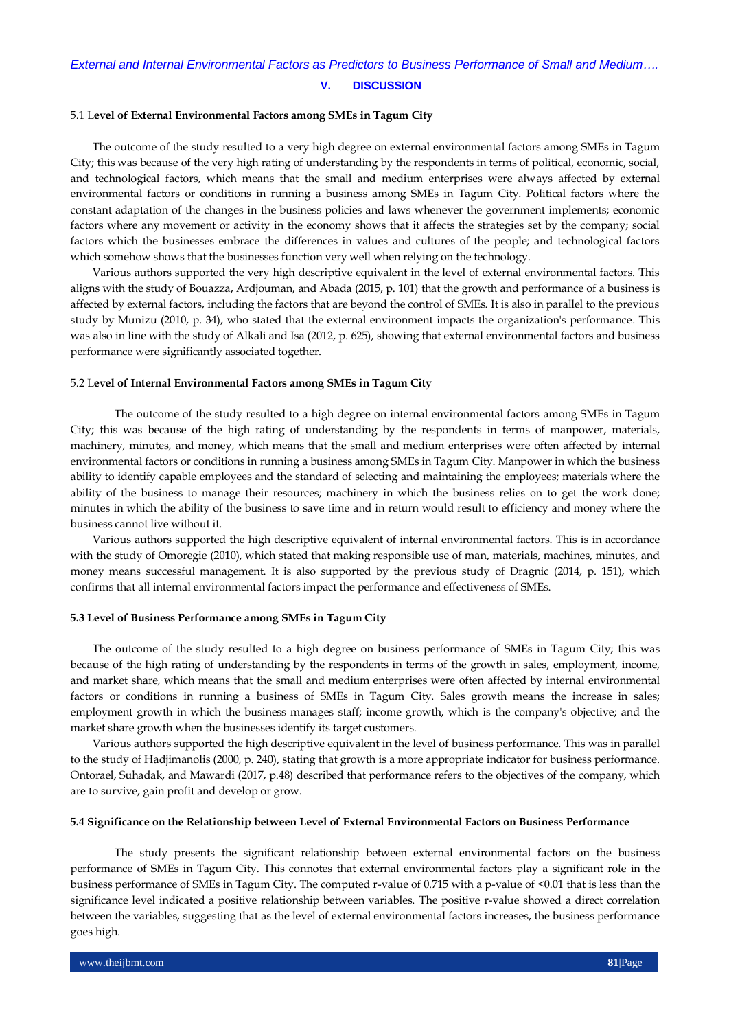## 5.1 L**evel of External Environmental Factors among SMEs in Tagum City**

The outcome of the study resulted to a very high degree on external environmental factors among SMEs in Tagum City; this was because of the very high rating of understanding by the respondents in terms of political, economic, social, and technological factors, which means that the small and medium enterprises were always affected by external environmental factors or conditions in running a business among SMEs in Tagum City. Political factors where the constant adaptation of the changes in the business policies and laws whenever the government implements; economic factors where any movement or activity in the economy shows that it affects the strategies set by the company; social factors which the businesses embrace the differences in values and cultures of the people; and technological factors which somehow shows that the businesses function very well when relying on the technology.

Various authors supported the very high descriptive equivalent in the level of external environmental factors. This aligns with the study of Bouazza, Ardjouman, and Abada (2015, p. 101) that the growth and performance of a business is affected by external factors, including the factors that are beyond the control of SMEs. It is also in parallel to the previous study by Munizu (2010, p. 34), who stated that the external environment impacts the organization's performance. This was also in line with the study of Alkali and Isa (2012, p. 625), showing that external environmental factors and business performance were significantly associated together.

#### 5.2 L**evel of Internal Environmental Factors among SMEs in Tagum City**

The outcome of the study resulted to a high degree on internal environmental factors among SMEs in Tagum City; this was because of the high rating of understanding by the respondents in terms of manpower, materials, machinery, minutes, and money, which means that the small and medium enterprises were often affected by internal environmental factors or conditions in running a business among SMEs in Tagum City. Manpower in which the business ability to identify capable employees and the standard of selecting and maintaining the employees; materials where the ability of the business to manage their resources; machinery in which the business relies on to get the work done; minutes in which the ability of the business to save time and in return would result to efficiency and money where the business cannot live without it.

Various authors supported the high descriptive equivalent of internal environmental factors. This is in accordance with the study of Omoregie (2010), which stated that making responsible use of man, materials, machines, minutes, and money means successful management. It is also supported by the previous study of Dragnic (2014, p. 151), which confirms that all internal environmental factors impact the performance and effectiveness of SMEs.

#### **5.3 Level of Business Performance among SMEs in Tagum City**

The outcome of the study resulted to a high degree on business performance of SMEs in Tagum City; this was because of the high rating of understanding by the respondents in terms of the growth in sales, employment, income, and market share, which means that the small and medium enterprises were often affected by internal environmental factors or conditions in running a business of SMEs in Tagum City. Sales growth means the increase in sales; employment growth in which the business manages staff; income growth, which is the company's objective; and the market share growth when the businesses identify its target customers.

Various authors supported the high descriptive equivalent in the level of business performance. This was in parallel to the study of Hadjimanolis (2000, p. 240), stating that growth is a more appropriate indicator for business performance. Ontorael, Suhadak, and Mawardi (2017, p.48) described that performance refers to the objectives of the company, which are to survive, gain profit and develop or grow.

### **5.4 Significance on the Relationship between Level of External Environmental Factors on Business Performance**

The study presents the significant relationship between external environmental factors on the business performance of SMEs in Tagum City. This connotes that external environmental factors play a significant role in the business performance of SMEs in Tagum City. The computed r-value of 0.715 with a p-value of <0.01 that is less than the significance level indicated a positive relationship between variables. The positive r-value showed a direct correlation between the variables, suggesting that as the level of external environmental factors increases, the business performance goes high.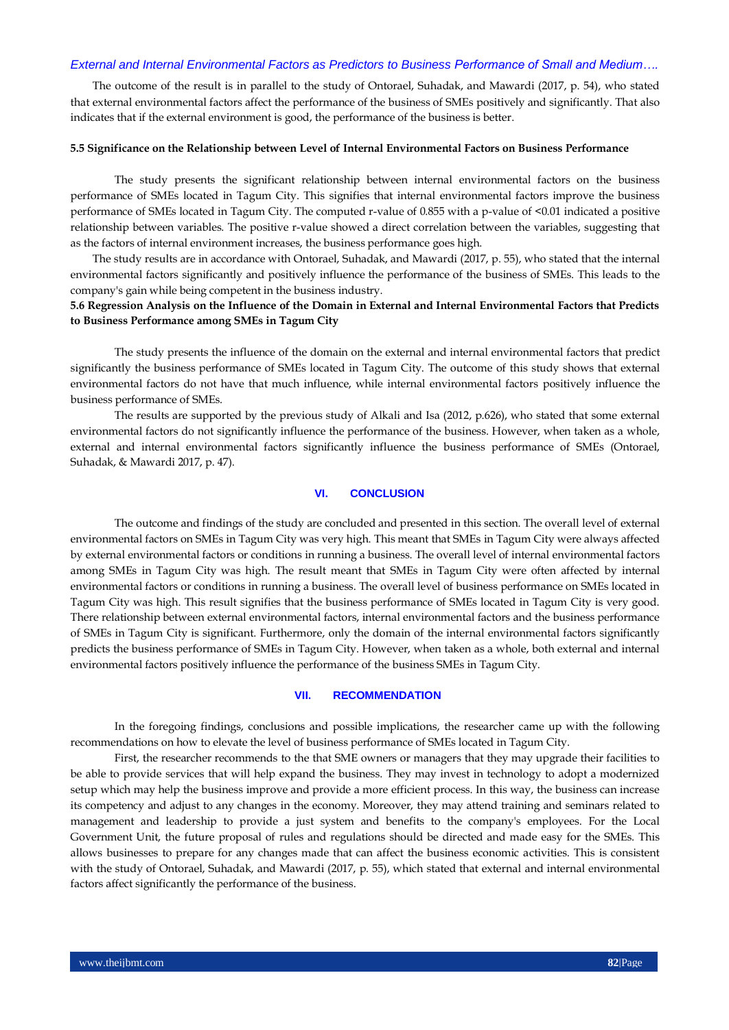The outcome of the result is in parallel to the study of Ontorael, Suhadak, and Mawardi (2017, p. 54), who stated that external environmental factors affect the performance of the business of SMEs positively and significantly. That also indicates that if the external environment is good, the performance of the business is better.

#### **5.5 Significance on the Relationship between Level of Internal Environmental Factors on Business Performance**

The study presents the significant relationship between internal environmental factors on the business performance of SMEs located in Tagum City. This signifies that internal environmental factors improve the business performance of SMEs located in Tagum City. The computed r-value of 0.855 with a p-value of <0.01 indicated a positive relationship between variables. The positive r-value showed a direct correlation between the variables, suggesting that as the factors of internal environment increases, the business performance goes high.

The study results are in accordance with Ontorael, Suhadak, and Mawardi (2017, p. 55), who stated that the internal environmental factors significantly and positively influence the performance of the business of SMEs. This leads to the company's gain while being competent in the business industry.

## **5.6 Regression Analysis on the Influence of the Domain in External and Internal Environmental Factors that Predicts to Business Performance among SMEs in Tagum City**

The study presents the influence of the domain on the external and internal environmental factors that predict significantly the business performance of SMEs located in Tagum City. The outcome of this study shows that external environmental factors do not have that much influence, while internal environmental factors positively influence the business performance of SMEs.

The results are supported by the previous study of Alkali and Isa (2012, p.626), who stated that some external environmental factors do not significantly influence the performance of the business. However, when taken as a whole, external and internal environmental factors significantly influence the business performance of SMEs (Ontorael, Suhadak, & Mawardi 2017, p. 47).

## **VI. CONCLUSION**

The outcome and findings of the study are concluded and presented in this section. The overall level of external environmental factors on SMEs in Tagum City was very high. This meant that SMEs in Tagum City were always affected by external environmental factors or conditions in running a business. The overall level of internal environmental factors among SMEs in Tagum City was high. The result meant that SMEs in Tagum City were often affected by internal environmental factors or conditions in running a business. The overall level of business performance on SMEs located in Tagum City was high. This result signifies that the business performance of SMEs located in Tagum City is very good. There relationship between external environmental factors, internal environmental factors and the business performance of SMEs in Tagum City is significant. Furthermore, only the domain of the internal environmental factors significantly predicts the business performance of SMEs in Tagum City. However, when taken as a whole, both external and internal environmental factors positively influence the performance of the business SMEs in Tagum City.

#### **VII. RECOMMENDATION**

In the foregoing findings, conclusions and possible implications, the researcher came up with the following recommendations on how to elevate the level of business performance of SMEs located in Tagum City.

First, the researcher recommends to the that SME owners or managers that they may upgrade their facilities to be able to provide services that will help expand the business. They may invest in technology to adopt a modernized setup which may help the business improve and provide a more efficient process. In this way, the business can increase its competency and adjust to any changes in the economy. Moreover, they may attend training and seminars related to management and leadership to provide a just system and benefits to the company's employees. For the Local Government Unit, the future proposal of rules and regulations should be directed and made easy for the SMEs. This allows businesses to prepare for any changes made that can affect the business economic activities. This is consistent with the study of Ontorael, Suhadak, and Mawardi (2017, p. 55), which stated that external and internal environmental factors affect significantly the performance of the business.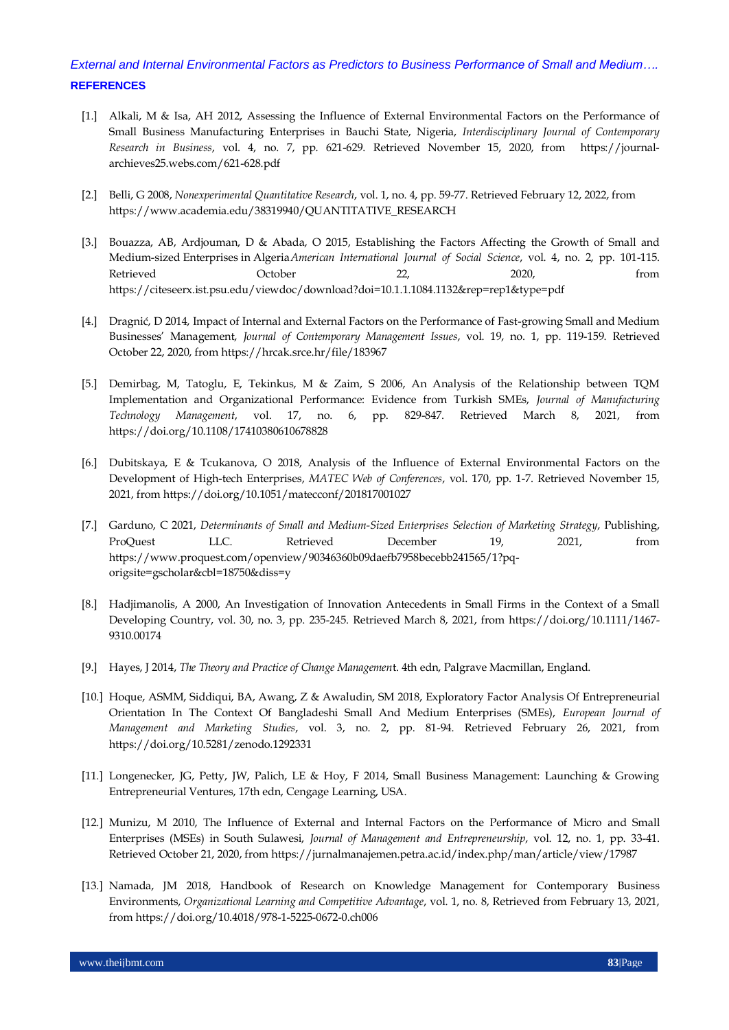- [1.] Alkali, M & Isa, AH 2012, Assessing the Influence of External Environmental Factors on the Performance of Small Business Manufacturing Enterprises in Bauchi State, Nigeria, *Interdisciplinary Journal of Contemporary Research in Business*, vol. 4, no. 7, pp. 621-629. Retrieved November 15, 2020, from https://journalarchieves25.webs.com/621-628.pdf
- [2.] Belli, G 2008, *Nonexperimental Quantitative Research*, vol. 1, no. 4, pp. 59-77. Retrieved February 12, 2022, from https://www.academia.edu/38319940/QUANTITATIVE\_RESEARCH
- [3.] Bouazza, AB, Ardjouman, D & Abada, O 2015, Establishing the Factors Affecting the Growth of Small and Medium-sized Enterprises in Algeria*American International Journal of Social Science*, vol. 4, no. 2, pp. 101-115. Retrieved October 22, 2020, from https://citeseerx.ist.psu.edu/viewdoc/download?doi=10.1.1.1084.1132&rep=rep1&type=pdf
- [4.] Dragnić, D 2014, Impact of Internal and External Factors on the Performance of Fast-growing Small and Medium Businesses' Management, *Journal of Contemporary Management Issues*, vol. 19, no. 1, pp. 119-159. Retrieved October 22, 2020, from https://hrcak.srce.hr/file/183967
- [5.] Demirbag, M, Tatoglu, E, Tekinkus, M & Zaim, S 2006, An Analysis of the Relationship between TQM Implementation and Organizational Performance: Evidence from Turkish SMEs, *Journal of Manufacturing Technology Management*, vol. 17, no. 6, pp. 829-847. Retrieved March 8, 2021, from https://doi.org/10.1108/17410380610678828
- [6.] Dubitskaya, E & Tcukanova, O 2018, Analysis of the Influence of External Environmental Factors on the Development of High-tech Enterprises, *MATEC Web of Conferences*, vol. 170, pp. 1-7. Retrieved November 15, 2021, from https://doi.org/10.1051/matecconf/201817001027
- [7.] Garduno, C 2021, *Determinants of Small and Medium-Sized Enterprises Selection of Marketing Strategy*, Publishing, ProQuest LLC. Retrieved December 19, 2021, from https://www.proquest.com/openview/90346360b09daefb7958becebb241565/1?pqorigsite=gscholar&cbl=18750&diss=y
- [8.] Hadjimanolis, A 2000, An Investigation of Innovation Antecedents in Small Firms in the Context of a Small Developing Country, vol. 30, no. 3, pp. 235-245. Retrieved March 8, 2021, from https://doi.org/10.1111/1467- 9310.00174
- [9.] Hayes, J 2014, *The Theory and Practice of Change Managemen*t. 4th edn, Palgrave Macmillan, England.
- [10.] Hoque, ASMM, Siddiqui, BA, Awang, Z & Awaludin, SM 2018, Exploratory Factor Analysis Of Entrepreneurial Orientation In The Context Of Bangladeshi Small And Medium Enterprises (SMEs), *European Journal of Management and Marketing Studies*, vol. 3, no. 2, pp. 81-94. Retrieved February 26, 2021, from https://doi.org/10.5281/zenodo.1292331
- [11.] Longenecker, JG, Petty, JW, Palich, LE & Hoy, F 2014, Small Business Management: Launching & Growing Entrepreneurial Ventures, 17th edn, Cengage Learning, USA.
- [12.] Munizu, M 2010, The Influence of External and Internal Factors on the Performance of Micro and Small Enterprises (MSEs) in South Sulawesi, *Journal of Management and Entrepreneurship*, vol. 12, no. 1, pp. 33-41. Retrieved October 21, 2020, from https://jurnalmanajemen.petra.ac.id/index.php/man/article/view/17987
- [13.] Namada, JM 2018, Handbook of Research on Knowledge Management for Contemporary Business Environments, *Organizational Learning and Competitive Advantage*, vol. 1, no. 8, Retrieved from February 13, 2021, from https://doi.org/10.4018/978-1-5225-0672-0.ch006